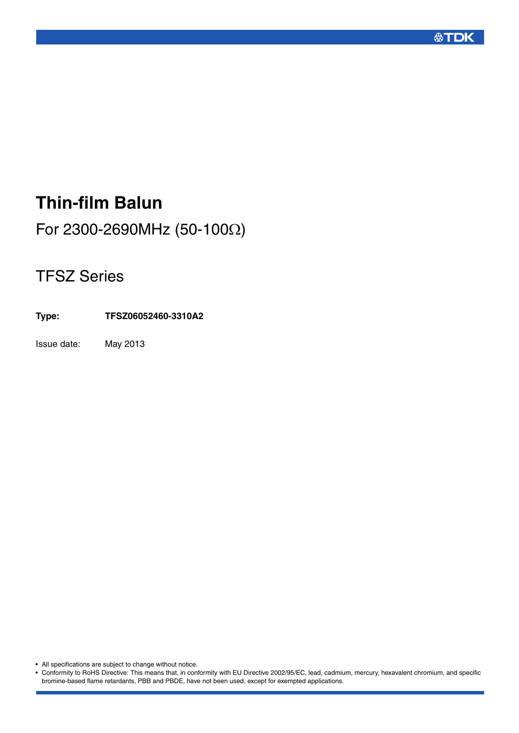

# **Thin-film Balun**

For 2300-2690MHz (50-100Ω)

## TFSZ Series

**Type: TFSZ06052460-3310A2**

Issue date: May 2013

• All specifications are subject to change without notice.

• Conformity to RoHS Directive: This means that, in conformity with EU Directive 2002/95/EC, lead, cadmium, mercury, hexavalent chromium, and specific bromine-based flame retardants, PBB and PBDE, have not been used, except for exempted applications.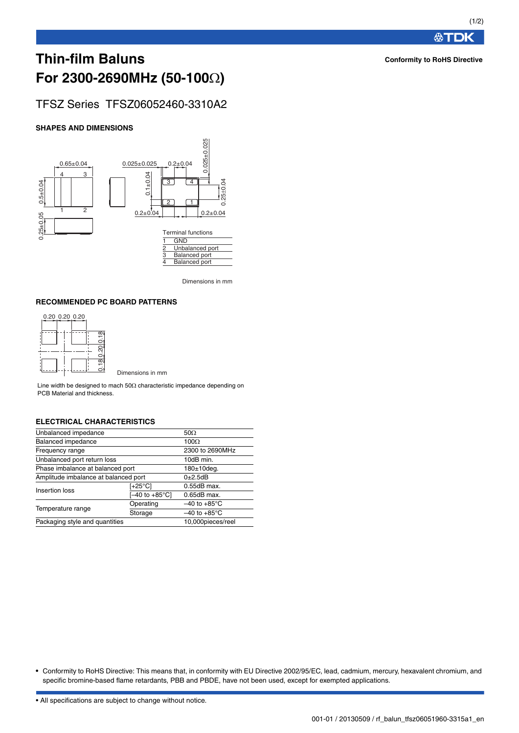### **Thin-film Baluns For 2300-2690MHz (50-100)**

### TFSZ Series TFSZ06052460-3310A2

#### **SHAPES AND DIMENSIONS**



Dimensions in mm

#### **RECOMMENDED PC BOARD PATTERNS**

|  | 0.20 0.20 0.20 |  |                     |
|--|----------------|--|---------------------|
|  |                |  | 0.18                |
|  |                |  | 0.20                |
|  |                |  | $\overline{\infty}$ |

Dimensions in mm

Line width be designed to mach  $50\Omega$  characteristic impedance depending on PCB Material and thickness.

#### **ELECTRICAL CHARACTERISTICS**

| Unbalanced impedance                 | 50 $\Omega$       |                          |
|--------------------------------------|-------------------|--------------------------|
| Balanced impedance                   | 100 $\Omega$      |                          |
| Frequency range                      | 2300 to 2690MHz   |                          |
| Unbalanced port return loss          | 10dB min.         |                          |
| Phase imbalance at balanced port     | $180±10$ deq.     |                          |
| Amplitude imbalance at balanced port | $0\pm2.5dB$       |                          |
| Insertion loss                       | [+25°C]           | $0.55dB$ max.            |
|                                      | [–40 to +85°C]    | $0.65dB$ max.            |
|                                      | Operating         | $-40$ to $+85^{\circ}$ C |
| Temperature range                    | Storage           | $-40$ to $+85^{\circ}$ C |
| Packaging style and quantities       | 10,000pieces/reel |                          |

• Conformity to RoHS Directive: This means that, in conformity with EU Directive 2002/95/EC, lead, cadmium, mercury, hexavalent chromium, and specific bromine-based flame retardants, PBB and PBDE, have not been used, except for exempted applications.

• All specifications are subject to change without notice.

#### **Conformity to RoHS Directive**

**公丁DK**